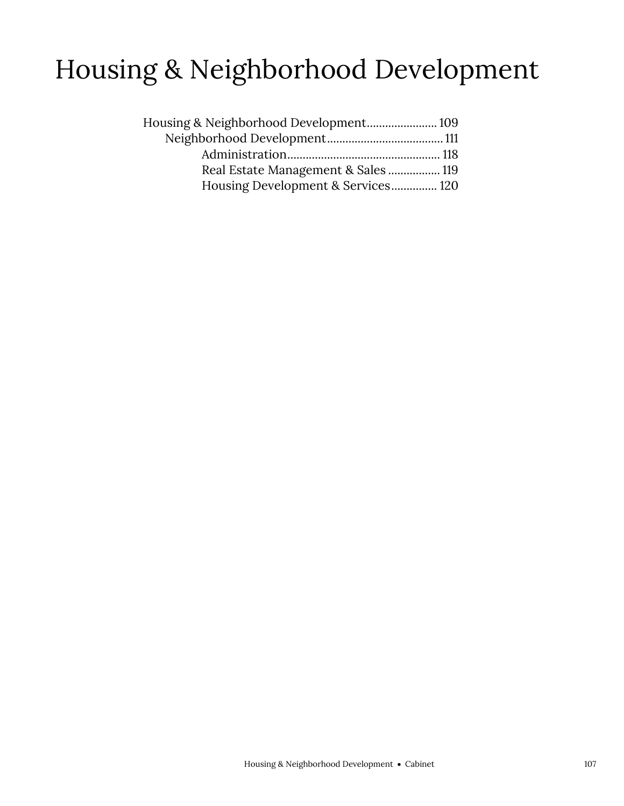## Housing & Neighborhood Development

| Housing & Neighborhood Development 109 |  |
|----------------------------------------|--|
|                                        |  |
|                                        |  |
| Real Estate Management & Sales 119     |  |
| Housing Development & Services 120     |  |
|                                        |  |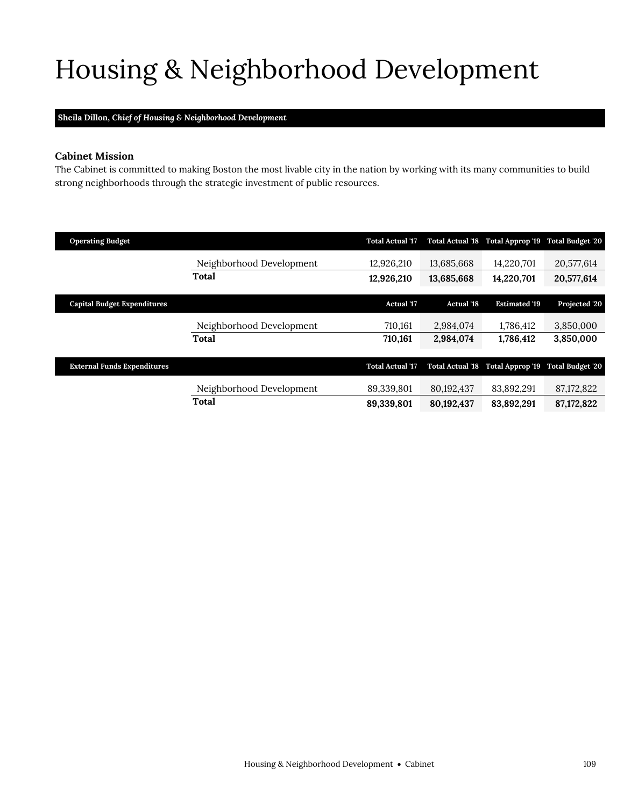## <span id="page-2-0"></span>Housing & Neighborhood Development

## **Sheila Dillon,** *Chief of Housing & Neighborhood Development*

### **Cabinet Mission**

The Cabinet is committed to making Boston the most livable city in the nation by working with its many communities to build strong neighborhoods through the strategic investment of public resources.

| <b>Operating Budget</b>            |                          | <b>Total Actual '17</b> |                         | Total Actual '18 Total Approp '19 Total Budget '20 |               |
|------------------------------------|--------------------------|-------------------------|-------------------------|----------------------------------------------------|---------------|
|                                    | Neighborhood Development | 12,926,210              | 13,685,668              | 14,220,701                                         | 20,577,614    |
|                                    | <b>Total</b>             | 12,926,210              | 13,685,668              | 14,220,701                                         | 20,577,614    |
| <b>Capital Budget Expenditures</b> |                          | <b>Actual</b> '17       | <b>Actual '18</b>       | <b>Estimated '19</b>                               | Projected '20 |
|                                    | Neighborhood Development | 710,161                 | 2,984,074               | 1,786,412                                          | 3,850,000     |
|                                    | Total                    | 710,161                 | 2,984,074               | 1,786,412                                          | 3,850,000     |
| <b>External Funds Expenditures</b> |                          | <b>Total Actual '17</b> | <b>Total Actual '18</b> | Total Approp '19 Total Budget '20                  |               |
|                                    | Neighborhood Development | 89,339,801              | 80,192,437              | 83,892,291                                         | 87, 172, 822  |
|                                    | <b>Total</b>             | 89,339,801              | 80,192,437              | 83,892,291                                         | 87, 172, 822  |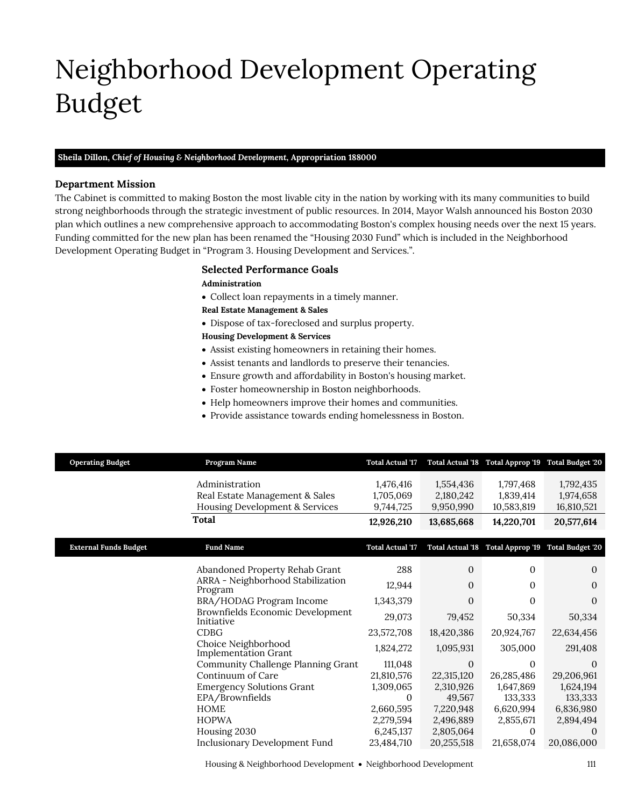## <span id="page-4-0"></span>Neighborhood Development Operating Budget

## **Sheila Dillon,** *Chief of Housing & Neighborhood Development,* **Appropriation 188000**

### **Department Mission**

Neighborhood Development

The Cabinet is committed to making Boston the most livable city in the nation by working with its many communities to build strong neighborhoods through the strategic investment of public resources. In 2014, Mayor Walsh announced his Boston 2030 plan which outlines a new comprehensive approach to accommodating Boston's complex housing needs over the next 15 years. Funding committed for the new plan has been renamed the "Housing 2030 Fund" which is included in the Neighborhood Development Operating Budget in "Program 3. Housing Development and Services.".

### **Selected Performance Goals**

### **Administration**

Collect loan repayments in a timely manner.

### **Real Estate Management & Sales**

Dispose of tax-foreclosed and surplus property.

### **Housing Development & Services**

- Assist existing homeowners in retaining their homes.
- Assist tenants and landlords to preserve their tenancies.
- Ensure growth and affordability in Boston's housing market.
- Foster homeownership in Boston neighborhoods.
- Help homeowners improve their homes and communities.
- Provide assistance towards ending homelessness in Boston.

| <b>Operating Budget</b>      | Program Name                                       | <b>Total Actual '17</b> |              | Total Actual 18 Total Approp 19 Total Budget '20   |            |
|------------------------------|----------------------------------------------------|-------------------------|--------------|----------------------------------------------------|------------|
|                              | Administration                                     | 1,476,416               | 1,554,436    | 1,797,468                                          | 1,792,435  |
|                              | Real Estate Management & Sales                     | 1,705,069               | 2,180,242    | 1,839,414                                          | 1,974,658  |
|                              | Housing Development & Services                     | 9,744,725               | 9,950,990    | 10,583,819                                         | 16,810,521 |
|                              | <b>Total</b>                                       | 12,926,210              | 13,685,668   | 14,220,701                                         | 20,577,614 |
|                              |                                                    |                         |              |                                                    |            |
| <b>External Funds Budget</b> | <b>Fund Name</b>                                   | <b>Total Actual '17</b> |              | Total Actual '18 Total Approp '19 Total Budget '20 |            |
|                              |                                                    |                         |              |                                                    |            |
|                              | Abandoned Property Rehab Grant                     | 288                     | $\mathbf{0}$ | $\Omega$                                           | $\Omega$   |
|                              | ARRA - Neighborhood Stabilization<br>Program       | 12,944                  | 0            | $\Omega$                                           | $\theta$   |
|                              | BRA/HODAG Program Income                           | 1,343,379               | $\Omega$     | $\Omega$                                           | $\Omega$   |
|                              | Brownfields Economic Development<br>Initiative     | 29,073                  | 79,452       | 50,334                                             | 50,334     |
|                              | <b>CDBG</b>                                        | 23,572,708              | 18,420,386   | 20,924,767                                         | 22,634,456 |
|                              | Choice Neighborhood<br><b>Implementation Grant</b> | 1,824,272               | 1,095,931    | 305,000                                            | 291,408    |
|                              | Community Challenge Planning Grant                 | 111,048                 | $\mathbf{0}$ | $\theta$                                           | $\Omega$   |
|                              | Continuum of Care                                  | 21,810,576              | 22,315,120   | 26,285,486                                         | 29,206,961 |
|                              | <b>Emergency Solutions Grant</b>                   | 1,309,065               | 2,310,926    | 1,647,869                                          | 1,624,194  |
|                              | EPA/Brownfields                                    | $\theta$                | 49,567       | 133,333                                            | 133,333    |
|                              | <b>HOME</b>                                        | 2,660,595               | 7,220,948    | 6,620,994                                          | 6,836,980  |
|                              | <b>HOPWA</b>                                       | 2,279,594               | 2,496,889    | 2,855,671                                          | 2,894,494  |
|                              | Housing 2030                                       | 6,245,137               | 2,805,064    | $\Omega$                                           | $\Omega$   |
|                              | Inclusionary Development Fund                      | 23,484,710              | 20,255,518   | 21,658,074                                         | 20,086,000 |

Housing & Neighborhood Development Neighborhood Development 111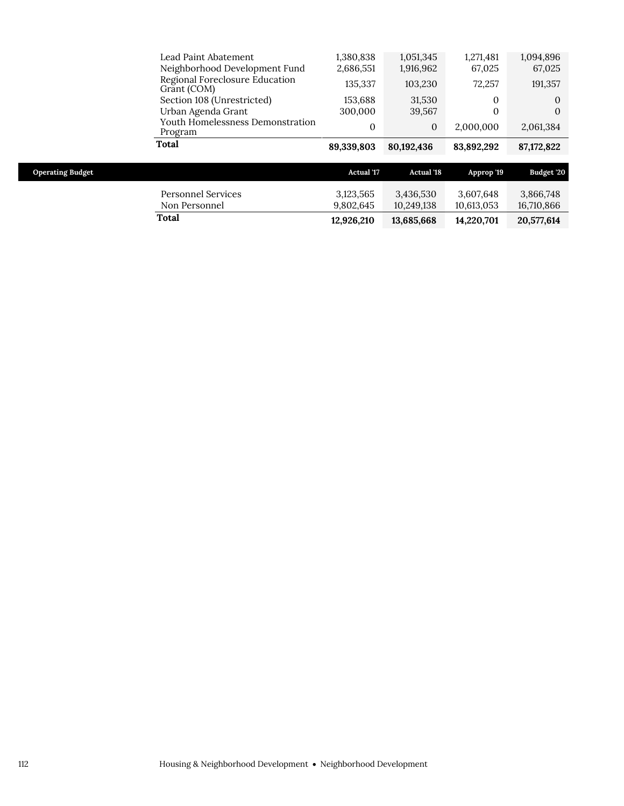|                         | Lead Paint Abatement                                                           | 1,380,838<br>2,686,551 | 1,051,345<br>1,916,962  | 1,271,481<br>67,025     | 1,094,896<br>67,025     |
|-------------------------|--------------------------------------------------------------------------------|------------------------|-------------------------|-------------------------|-------------------------|
|                         | Neighborhood Development Fund<br>Regional Foreclosure Education<br>Grant (COM) | 135,337                | 103,230                 | 72,257                  | 191,357                 |
|                         | Section 108 (Unrestricted)<br>Urban Agenda Grant                               | 153,688<br>300,000     | 31,530<br>39,567        | $\Omega$<br>$\Omega$    | $\Omega$<br>$\Omega$    |
|                         | Youth Homelessness Demonstration<br>Program                                    | $\theta$               | $\mathbf{0}$            | 2,000,000               | 2,061,384               |
|                         |                                                                                |                        |                         |                         |                         |
|                         | <b>Total</b>                                                                   | 89,339,803             | 80,192,436              | 83,892,292              | 87,172,822              |
| <b>Operating Budget</b> |                                                                                | <b>Actual '17</b>      | <b>Actual '18</b>       | Approp '19              | Budget '20              |
|                         | <b>Personnel Services</b><br>Non Personnel                                     | 3,123,565<br>9,802,645 | 3,436,530<br>10,249,138 | 3,607,648<br>10,613,053 | 3,866,748<br>16,710,866 |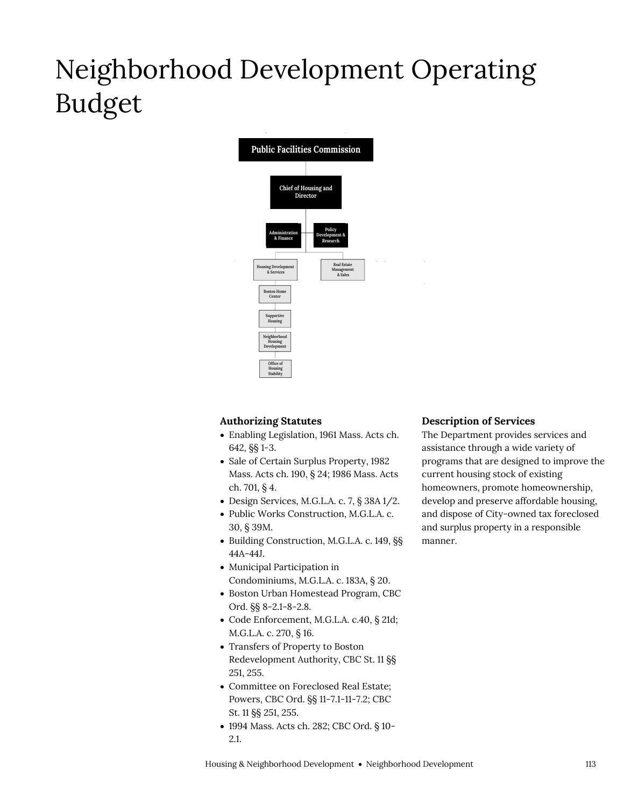## Neighborhood Development Operating Budget



## **Authorizing Statutes**

- Enabling Legislation, 1961 Mass. Acts ch. 642, §§ 1-3.
- Sale of Certain Surplus Property, 1982 Mass. Acts ch. 190, § 24; 1986 Mass. Acts ch. 701, § 4.
- Design Services, M.G.L.A. c. 7, § 38A 1/2.
- Public Works Construction, M.G.L.A. c. 30, § 39M.
- Building Construction, M.G.L.A. c. 149, §§ 44A-44J.
- Municipal Participation in Condominiums, M.G.L.A. c. 183A, § 20.
- Boston Urban Homestead Program, CBC Ord. §§ 8-2.1-8-2.8.
- Code Enforcement, M.G.L.A. c.40, § 21d; M.G.L.A. c. 270, § 16.
- Transfers of Property to Boston Redevelopment Authority, CBC St. 11 §§ 251, 255.
- Committee on Foreclosed Real Estate; Powers, CBC Ord. §§ 11-7.1-11-7.2; CBC St. 11 §§ 251, 255.
- 1994 Mass. Acts ch. 282; CBC Ord. § 10- 2.1.

### **Description of Services**

The Department provides services and assistance through a wide variety of programs that are designed to improve the current housing stock of existing homeowners, promote homeownership, develop and preserve affordable housing, and dispose of City-owned tax foreclosed and surplus property in a responsible manner.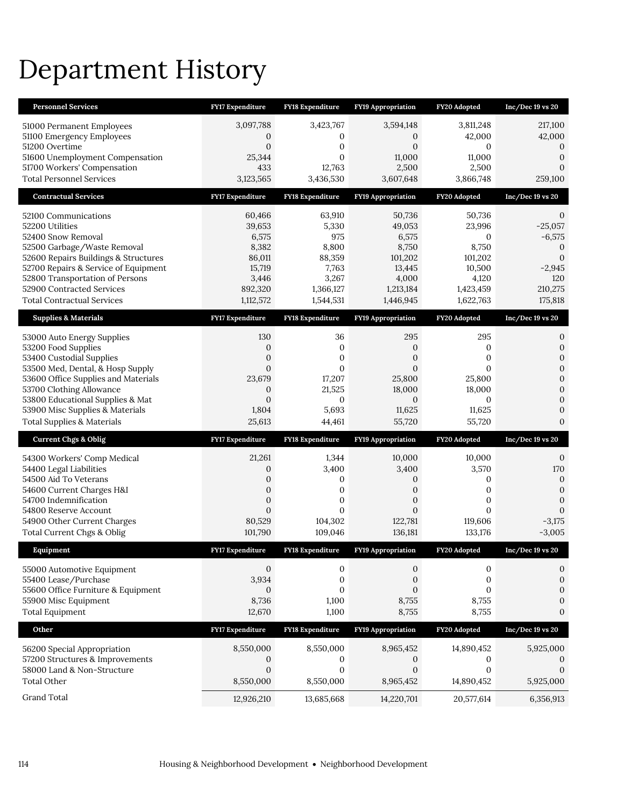## Department History

| <b>Personnel Services</b>                                                | <b>FY17 Expenditure</b>              | <b>FY18 Expenditure</b> | <b>FY19 Appropriation</b>        | FY20 Adopted       | $Inc/Dec 19$ vs 20           |
|--------------------------------------------------------------------------|--------------------------------------|-------------------------|----------------------------------|--------------------|------------------------------|
| 51000 Permanent Employees                                                | 3,097,788                            | 3,423,767               | 3,594,148                        | 3,811,248          | 217,100                      |
| 51100 Emergency Employees                                                | 0                                    | $\mathbf{0}$            | $\mathbf{0}$                     | 42,000             | 42,000                       |
| 51200 Overtime                                                           | $\mathbf{0}$                         | 0                       | $\mathbf{0}$                     | 0                  | $\mathbf 0$                  |
| 51600 Unemployment Compensation<br>51700 Workers' Compensation           | 25,344                               | $\mathbf{0}$            | 11,000                           | 11,000             | $\mathbf{0}$                 |
| <b>Total Personnel Services</b>                                          | 433<br>3,123,565                     | 12,763<br>3,436,530     | 2,500<br>3,607,648               | 2,500<br>3,866,748 | $\theta$<br>259,100          |
|                                                                          |                                      |                         |                                  |                    |                              |
| <b>Contractual Services</b>                                              | FY17 Expenditure                     | FY18 Expenditure        | <b>FY19 Appropriation</b>        | FY20 Adopted       | $Inc/Dec 19$ vs $20$         |
| 52100 Communications                                                     | 60,466                               | 63,910                  | 50,736                           | 50,736             | 0                            |
| 52200 Utilities                                                          | 39,653                               | 5,330                   | 49,053                           | 23,996             | $-25,057$                    |
| 52400 Snow Removal<br>52500 Garbage/Waste Removal                        | 6,575<br>8,382                       | 975<br>8,800            | 6,575<br>8,750                   | 0<br>8,750         | $-6,575$<br>$\mathbf{0}$     |
| 52600 Repairs Buildings & Structures                                     | 86,011                               | 88,359                  | 101,202                          | 101,202            | $\theta$                     |
| 52700 Repairs & Service of Equipment                                     | 15,719                               | 7,763                   | 13,445                           | 10,500             | $-2,945$                     |
| 52800 Transportation of Persons                                          | 3,446                                | 3,267                   | 4,000                            | 4,120              | 120                          |
| 52900 Contracted Services                                                | 892,320                              | 1,366,127               | 1,213,184                        | 1,423,459          | 210,275                      |
| <b>Total Contractual Services</b>                                        | 1,112,572                            | 1,544,531               | 1,446,945                        | 1,622,763          | 175,818                      |
| <b>Supplies &amp; Materials</b>                                          | FY17 Expenditure                     | <b>FY18 Expenditure</b> | FY19 Appropriation               | FY20 Adopted       | $Inc/Dec 19$ vs 20           |
| 53000 Auto Energy Supplies                                               | 130                                  | 36                      | 295                              | 295                | $\mathbf 0$                  |
| 53200 Food Supplies                                                      | 0                                    | $\mathbf{0}$            | 0                                | 0                  | $\boldsymbol{0}$             |
| 53400 Custodial Supplies                                                 | $\boldsymbol{0}$                     | $\mathbf{0}$            | $\mathbf{0}$                     | 0                  | $\boldsymbol{0}$             |
| 53500 Med, Dental, & Hosp Supply                                         | $\mathbf{0}$                         | $\mathbf{0}$            | $\mathbf{0}$                     | $\mathbf{0}$       | $\mathbf{0}$                 |
| 53600 Office Supplies and Materials<br>53700 Clothing Allowance          | 23,679<br>$\mathbf{0}$               | 17,207<br>21,525        | 25,800<br>18,000                 | 25,800<br>18,000   | $\mathbf{0}$<br>$\mathbf{0}$ |
| 53800 Educational Supplies & Mat                                         | $\mathbf{0}$                         | 0                       | $\boldsymbol{0}$                 | $\mathbf{0}$       | $\mathbf{0}$                 |
|                                                                          |                                      |                         |                                  |                    |                              |
|                                                                          |                                      |                         |                                  |                    |                              |
| 53900 Misc Supplies & Materials<br><b>Total Supplies &amp; Materials</b> | 1,804<br>25,613                      | 5,693<br>44,461         | 11,625<br>55,720                 | 11,625<br>55,720   | $\mathbf{0}$<br>$\mathbf{0}$ |
|                                                                          |                                      |                         |                                  |                    |                              |
| <b>Current Chgs &amp; Oblig</b>                                          | <b>FY17 Expenditure</b>              | <b>FY18 Expenditure</b> | <b>FY19 Appropriation</b>        | FY20 Adopted       | $Inc/Dec 19$ vs $20$         |
| 54300 Workers' Comp Medical                                              | 21,261                               | 1,344                   | 10,000                           | 10,000             | $\mathbf{0}$                 |
| 54400 Legal Liabilities                                                  | 0                                    | 3,400                   | 3,400                            | 3,570              | 170                          |
| 54500 Aid To Veterans                                                    | $\boldsymbol{0}$                     | 0<br>$\mathbf{0}$       | 0                                | 0                  | $\boldsymbol{0}$             |
| 54600 Current Charges H&I<br>54700 Indemnification                       | $\boldsymbol{0}$<br>$\boldsymbol{0}$ | 0                       | $\boldsymbol{0}$<br>$\mathbf{0}$ | 0<br>0             | $\mathbf{0}$<br>$\mathbf{0}$ |
| 54800 Reserve Account                                                    | $\mathbf{0}$                         | $\mathbf{0}$            | $\mathbf{0}$                     | $\Omega$           | $\mathbf{0}$                 |
| 54900 Other Current Charges                                              | 80,529                               | 104,302                 | 122,781                          | 119,606            | $-3,175$                     |
| Total Current Chgs & Oblig                                               | 101,790                              | 109,046                 | 136,181                          | 133,176            | $-3,005$                     |
| Equipment                                                                | <b>FY17 Expenditure</b>              | <b>FY18 Expenditure</b> | <b>FY19 Appropriation</b>        | FY20 Adopted       | Inc/Dec 19 vs 20             |
| 55000 Automotive Equipment                                               | $\theta$                             | 0                       | 0                                | 0                  | $\mathbf{0}$                 |
| 55400 Lease/Purchase                                                     | 3,934                                | 0                       | 0                                | 0                  | $\boldsymbol{0}$             |
| 55600 Office Furniture & Equipment                                       | $\theta$                             | $\mathbf{0}$            | $\mathbf{0}$                     | $\mathbf{0}$       | $\boldsymbol{0}$             |
| 55900 Misc Equipment                                                     | 8,736                                | 1,100                   | 8,755                            | 8,755              | $\boldsymbol{0}$             |
| <b>Total Equipment</b>                                                   | 12,670                               | 1,100                   | 8,755                            | 8,755              | $\mathbf{0}$                 |
| Other                                                                    | FY17 Expenditure                     | FY18 Expenditure        | FY19 Appropriation               | FY20 Adopted       | $Inc/Dec 19$ vs 20           |
| 56200 Special Appropriation                                              | 8,550,000                            | 8,550,000               | 8,965,452                        | 14,890,452         | 5,925,000                    |
| 57200 Structures & Improvements                                          | 0                                    | 0                       | 0                                | 0                  | 0                            |
| 58000 Land & Non-Structure                                               | $\mathbf{0}$                         | $\mathbf{0}$            | $\mathbf{0}$                     | $\mathbf{0}$       | $\theta$                     |
| <b>Total Other</b>                                                       | 8,550,000                            | 8,550,000               | 8,965,452                        | 14,890,452         | 5,925,000                    |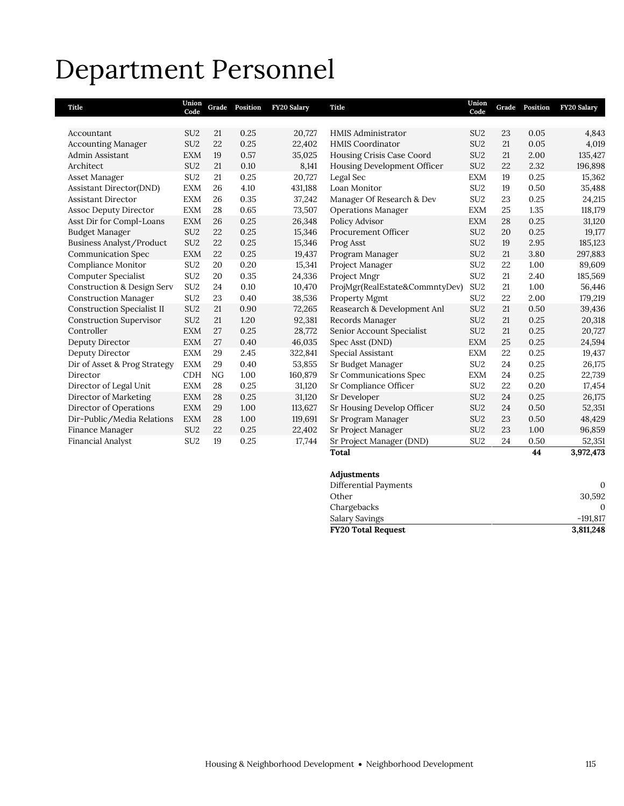## Department Personnel

| Title                                 | Union<br>Code   | Grade | Position | FY20 Salary | <b>Title</b>                   | Union<br>Code   | Grade | Position | <b>FY20 Salary</b> |
|---------------------------------------|-----------------|-------|----------|-------------|--------------------------------|-----------------|-------|----------|--------------------|
|                                       |                 |       |          |             |                                |                 |       |          |                    |
| Accountant                            | SU <sub>2</sub> | 21    | 0.25     | 20,727      | <b>HMIS Administrator</b>      | SU <sub>2</sub> | 23    | 0.05     | 4,843              |
| <b>Accounting Manager</b>             | SU <sub>2</sub> | 22    | 0.25     | 22,402      | <b>HMIS Coordinator</b>        | SU <sub>2</sub> | 21    | 0.05     | 4,019              |
| Admin Assistant                       | <b>EXM</b>      | 19    | 0.57     | 35,025      | Housing Crisis Case Coord      | SU <sub>2</sub> | 21    | 2.00     | 135,427            |
| Architect                             | SU <sub>2</sub> | 21    | 0.10     | 8,141       | Housing Development Officer    | SU <sub>2</sub> | 22    | 2.32     | 196,898            |
| Asset Manager                         | SU <sub>2</sub> | 21    | 0.25     | 20,727      | Legal Sec                      | <b>EXM</b>      | 19    | 0.25     | 15,362             |
| Assistant Director(DND)               | <b>EXM</b>      | 26    | 4.10     | 431,188     | Loan Monitor                   | SU <sub>2</sub> | 19    | 0.50     | 35,488             |
| <b>Assistant Director</b>             | <b>EXM</b>      | 26    | 0.35     | 37,242      | Manager Of Research & Dev      | SU <sub>2</sub> | 23    | 0.25     | 24,215             |
| <b>Assoc Deputy Director</b>          | <b>EXM</b>      | 28    | 0.65     | 73,507      | <b>Operations Manager</b>      | <b>EXM</b>      | 25    | 1.35     | 118,179            |
| Asst Dir for Compl-Loans              | <b>EXM</b>      | 26    | 0.25     | 26,348      | Policy Advisor                 | <b>EXM</b>      | 28    | 0.25     | 31,120             |
| <b>Budget Manager</b>                 | SU <sub>2</sub> | 22    | 0.25     | 15,346      | Procurement Officer            | SU <sub>2</sub> | 20    | 0.25     | 19,177             |
| Business Analyst/Product              | SU <sub>2</sub> | 22    | 0.25     | 15,346      | Prog Asst                      | SU <sub>2</sub> | 19    | 2.95     | 185,123            |
| <b>Communication Spec</b>             | <b>EXM</b>      | 22    | 0.25     | 19,437      | Program Manager                | SU <sub>2</sub> | 21    | 3.80     | 297,883            |
| Compliance Monitor                    | SU <sub>2</sub> | 20    | 0.20     | 15,341      | Project Manager                | SU <sub>2</sub> | 22    | 1.00     | 89,609             |
| Computer Specialist                   | SU <sub>2</sub> | 20    | 0.35     | 24,336      | Project Mngr                   | SU <sub>2</sub> | 21    | 2.40     | 185,569            |
| <b>Construction &amp; Design Serv</b> | SU <sub>2</sub> | 24    | 0.10     | 10,470      | ProjMgr(RealEstate&CommntyDev) | SU <sub>2</sub> | 21    | 1.00     | 56,446             |
| <b>Construction Manager</b>           | SU <sub>2</sub> | 23    | 0.40     | 38,536      | Property Mgmt                  | SU <sub>2</sub> | 22    | 2.00     | 179,219            |
| <b>Construction Specialist II</b>     | SU <sub>2</sub> | 21    | 0.90     | 72,265      | Reasearch & Development Anl    | SU <sub>2</sub> | 21    | 0.50     | 39,436             |
| <b>Construction Supervisor</b>        | SU <sub>2</sub> | 21    | 1.20     | 92,381      | Records Manager                | SU <sub>2</sub> | 21    | 0.25     | 20,318             |
| Controller                            | <b>EXM</b>      | 27    | 0.25     | 28,772      | Senior Account Specialist      | SU <sub>2</sub> | 21    | 0.25     | 20,727             |
| Deputy Director                       | <b>EXM</b>      | 27    | 0.40     | 46,035      | Spec Asst (DND)                | <b>EXM</b>      | 25    | 0.25     | 24,594             |
| Deputy Director                       | <b>EXM</b>      | 29    | 2.45     | 322,841     | Special Assistant              | <b>EXM</b>      | 22    | 0.25     | 19,437             |
| Dir of Asset & Prog Strategy          | <b>EXM</b>      | 29    | 0.40     | 53,855      | Sr Budget Manager              | SU <sub>2</sub> | 24    | 0.25     | 26,175             |
| Director                              | <b>CDH</b>      | NG    | 1.00     | 160,879     | Sr Communications Spec         | <b>EXM</b>      | 24    | 0.25     | 22,739             |
| Director of Legal Unit                | <b>EXM</b>      | 28    | 0.25     | 31,120      | Sr Compliance Officer          | SU <sub>2</sub> | 22    | 0.20     | 17,454             |
| Director of Marketing                 | <b>EXM</b>      | 28    | 0.25     | 31,120      | Sr Developer                   | SU <sub>2</sub> | 24    | 0.25     | 26,175             |
| Director of Operations                | <b>EXM</b>      | 29    | 1.00     | 113,627     | Sr Housing Develop Officer     | SU <sub>2</sub> | 24    | 0.50     | 52,351             |
| Dir-Public/Media Relations            | <b>EXM</b>      | 28    | 1.00     | 119,691     | Sr Program Manager             | SU <sub>2</sub> | 23    | 0.50     | 48,429             |
| Finance Manager                       | SU <sub>2</sub> | 22    | 0.25     | 22,402      | Sr Project Manager             | SU <sub>2</sub> | 23    | 1.00     | 96,859             |
| Financial Analyst                     | SU <sub>2</sub> | 19    | 0.25     | 17,744      | Sr Project Manager (DND)       | SU <sub>2</sub> | 24    | 0.50     | 52,351             |
|                                       |                 |       |          |             | <b>Total</b>                   |                 |       | 44       | 3,972,473          |

## **Adjustments**

| <b>FY20 Total Request</b> | 3,811,248  |
|---------------------------|------------|
| Salary Savings            | $-191.817$ |
| Chargebacks               |            |
| Other                     | 30,592     |
| Differential Payments     |            |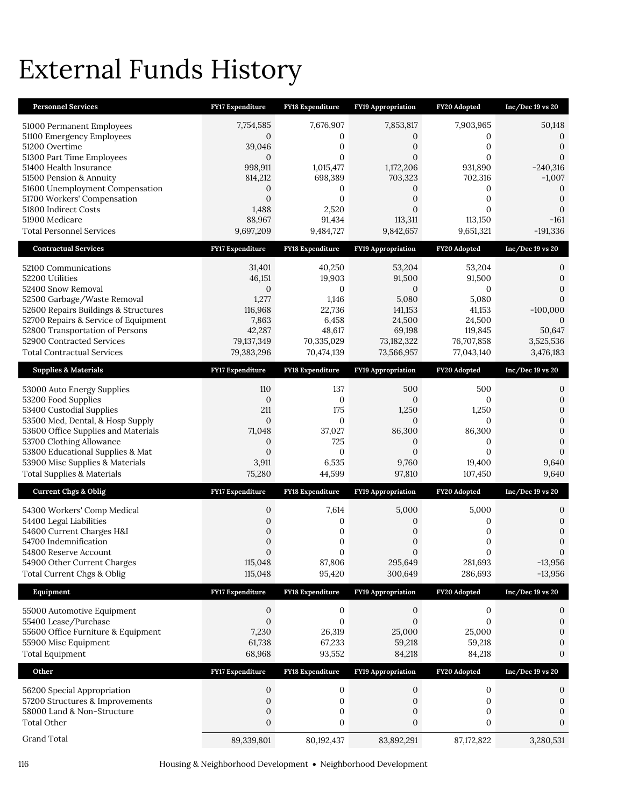## External Funds History

| <b>Personnel Services</b>                                       | FY17 Expenditure               | FY18 Expenditure                     | FY19 Appropriation        | FY20 Adopted          | Inc/Dec 19 vs 20               |
|-----------------------------------------------------------------|--------------------------------|--------------------------------------|---------------------------|-----------------------|--------------------------------|
| 51000 Permanent Employees                                       | 7,754,585                      | 7,676,907                            | 7,853,817                 | 7,903,965             | 50,148                         |
| 51100 Emergency Employees                                       | $\mathbf{0}$                   | $\mathbf{0}$                         | 0                         | 0                     | 0                              |
| 51200 Overtime<br>51300 Part Time Employees                     | 39,046<br>$\mathbf{0}$         | $\mathbf{0}$<br>$\mathbf{0}$         | 0<br>$\overline{0}$       | 0<br>$\Omega$         | $\overline{0}$<br>$\mathbf{0}$ |
| 51400 Health Insurance                                          | 998,911                        | 1,015,477                            | 1,172,206                 | 931,890               | $-240,316$                     |
| 51500 Pension & Annuity                                         | 814,212                        | 698,389                              | 703,323                   | 702,316               | $-1,007$                       |
| 51600 Unemployment Compensation<br>51700 Workers' Compensation  | $\mathbf{0}$<br>$\mathbf{0}$   | 0<br>$\mathbf{0}$                    | 0<br>$\overline{0}$       | 0<br>0                | $\overline{0}$<br>$\mathbf{0}$ |
| 51800 Indirect Costs                                            | 1,488                          | 2,520                                | $\overline{0}$            | $\Omega$              | $\overline{0}$                 |
| 51900 Medicare                                                  | 88,967                         | 91,434                               | 113,311                   | 113,150               | $-161$                         |
| <b>Total Personnel Services</b>                                 | 9,697,209                      | 9,484,727                            | 9,842,657                 | 9,651,321             | $-191,336$                     |
| <b>Contractual Services</b>                                     | <b>FY17 Expenditure</b>        | FY18 Expenditure                     | FY19 Appropriation        | FY20 Adopted          | Inc/Dec 19 vs 20               |
| 52100 Communications                                            | 31,401                         | 40,250                               | 53,204                    | 53,204                | 0                              |
| 52200 Utilities<br>52400 Snow Removal                           | 46,151<br>$\mathbf{0}$         | 19,903<br>$\mathbf{0}$               | 91,500<br>0               | 91,500<br>0           | $\theta$<br>$\Omega$           |
| 52500 Garbage/Waste Removal                                     | 1,277                          | 1,146                                | 5,080                     | 5,080                 | $\Omega$                       |
| 52600 Repairs Buildings & Structures                            | 116,968                        | 22,736                               | 141,153                   | 41,153                | $-100,000$                     |
| 52700 Repairs & Service of Equipment                            | 7,863                          | 6,458                                | 24,500                    | 24,500                | 0                              |
| 52800 Transportation of Persons<br>52900 Contracted Services    | 42,287<br>79,137,349           | 48,617<br>70,335,029                 | 69,198<br>73,182,322      | 119,845<br>76,707,858 | 50,647<br>3,525,536            |
| Total Contractual Services                                      | 79,383,296                     | 70,474,139                           | 73,566,957                | 77,043,140            | 3,476,183                      |
| <b>Supplies &amp; Materials</b>                                 | <b>FY17 Expenditure</b>        | <b>FY18 Expenditure</b>              | <b>FY19 Appropriation</b> | FY20 Adopted          | Inc/Dec 19 vs 20               |
| 53000 Auto Energy Supplies                                      | 110                            | 137                                  | 500                       | 500                   | 0                              |
| 53200 Food Supplies                                             | $\mathbf{0}$                   | $\boldsymbol{0}$                     | $\mathbf{0}$              | 0                     | $\boldsymbol{0}$               |
| 53400 Custodial Supplies                                        | 211                            | 175                                  | 1,250                     | 1,250                 | $\mathbf{0}$                   |
| 53500 Med, Dental, & Hosp Supply                                | $\boldsymbol{0}$               | $\boldsymbol{0}$                     | $\mathbf{0}$              | $\mathbf{0}$          | $\overline{0}$                 |
| 53600 Office Supplies and Materials<br>53700 Clothing Allowance | 71,048<br>$\boldsymbol{0}$     | 37,027<br>725                        | 86,300<br>$\theta$        | 86,300<br>0           | $\mathbf{0}$<br>$\Omega$       |
| 53800 Educational Supplies & Mat                                | $\mathbf{0}$                   | $\mathbf{0}$                         | $\mathbf{0}$              | $\overline{0}$        | $\Omega$                       |
| 53900 Misc Supplies & Materials                                 | 3,911                          | 6,535                                | 9,760                     | 19,400                | 9,640                          |
| <b>Total Supplies &amp; Materials</b>                           | 75,280                         | 44,599                               | 97,810                    | 107,450               | 9,640                          |
| <b>Current Chgs &amp; Oblig</b>                                 | FY17 Expenditure               | <b>FY18 Expenditure</b>              | <b>FY19 Appropriation</b> | FY20 Adopted          | $Inc/Dec 19$ vs $20$           |
| 54300 Workers' Comp Medical                                     | 0                              | 7,614                                | 5,000                     | 5,000                 | 0                              |
| 54400 Legal Liabilities                                         | $\boldsymbol{0}$               | $\mathbf{0}$                         | 0                         | 0                     | 0                              |
| 54600 Current Charges H&I                                       | $\boldsymbol{0}$               | $\mathbf{0}$                         | $\mathbf{0}$              | $\boldsymbol{0}$      | $\mathbf{0}$                   |
| 54700 Indemnification<br>54800 Reserve Account                  | $\mathbf{0}$<br>$\overline{0}$ | $\mathbf{0}$<br>$\mathbf{0}$         | $\mathbf{0}$<br>$\Omega$  | 0<br>$\Omega$         | $\mathbf{0}$<br>$\mathbf{0}$   |
| 54900 Other Current Charges                                     | 115,048                        | 87,806                               | 295,649                   | 281,693               | $-13,956$                      |
| Total Current Chgs & Oblig                                      | 115,048                        | 95,420                               | 300,649                   | 286,693               | $-13,956$                      |
| Equipment                                                       | FY17 Expenditure               | FY18 Expenditure                     | <b>FY19 Appropriation</b> | FY20 Adopted          | Inc/Dec 19 vs 20               |
| 55000 Automotive Equipment                                      | 0                              | $\mathbf{0}$                         | $\boldsymbol{0}$          | $\boldsymbol{0}$      | 0                              |
| 55400 Lease/Purchase                                            | $\mathbf{0}$                   | $\mathbf{0}$                         | $\mathbf{0}$              | $\mathbf{0}$          | $\boldsymbol{0}$               |
| 55600 Office Furniture & Equipment                              | 7,230                          | 26,319                               | 25,000                    | 25,000                | 0                              |
| 55900 Misc Equipment<br><b>Total Equipment</b>                  | 61,738<br>68,968               | 67,233<br>93,552                     | 59,218<br>84,218          | 59,218<br>84,218      | $\theta$<br>$\boldsymbol{0}$   |
|                                                                 |                                |                                      |                           |                       |                                |
| Other                                                           | FY17 Expenditure               | FY18 Expenditure                     | <b>FY19 Appropriation</b> | FY20 Adopted          | Inc/Dec 19 vs 20               |
| 56200 Special Appropriation                                     | 0                              | $\boldsymbol{0}$                     | 0                         | 0                     | 0                              |
| 57200 Structures & Improvements<br>58000 Land & Non-Structure   | 0<br>$\boldsymbol{0}$          | $\boldsymbol{0}$<br>$\boldsymbol{0}$ | 0<br>0                    | $\boldsymbol{0}$<br>0 | $\mathbf{0}$<br>0              |
| Total Other                                                     | $\mathbf{0}$                   | $\mathbf{0}$                         | $\mathbf{0}$              | 0                     | 0                              |
| Grand Total                                                     | 89,339,801                     | 80, 192, 437                         | 83,892,291                | 87, 172, 822          | 3,280,531                      |

116 Housing & Neighborhood Development Neighborhood Development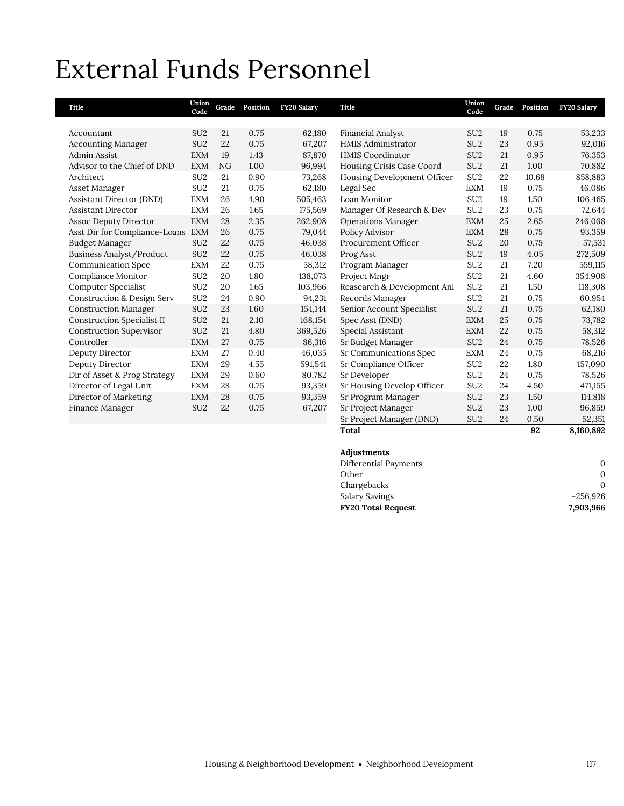## External Funds Personnel

| Title                                 | Union<br>Code   | Grade | Position | FY20 Salary | <b>Title</b>                | Union<br>Code   | Grade | Position | <b>FY20 Salary</b> |
|---------------------------------------|-----------------|-------|----------|-------------|-----------------------------|-----------------|-------|----------|--------------------|
|                                       |                 |       |          |             |                             |                 |       |          |                    |
| Accountant                            | SU <sub>2</sub> | 21    | 0.75     | 62,180      | Financial Analyst           | SU <sub>2</sub> | 19    | 0.75     | 53,233             |
| <b>Accounting Manager</b>             | SU <sub>2</sub> | 22    | 0.75     | 67,207      | <b>HMIS Administrator</b>   | SU <sub>2</sub> | 23    | 0.95     | 92,016             |
| <b>Admin Assist</b>                   | <b>EXM</b>      | 19    | 1.43     | 87,870      | <b>HMIS Coordinator</b>     | SU <sub>2</sub> | 21    | 0.95     | 76,353             |
| Advisor to the Chief of DND           | <b>EXM</b>      | NG    | 1.00     | 96,994      | Housing Crisis Case Coord   | SU <sub>2</sub> | 21    | 1.00     | 70,882             |
| Architect                             | SU <sub>2</sub> | 21    | 0.90     | 73,268      | Housing Development Officer | SU <sub>2</sub> | 22    | 10.68    | 858,883            |
| Asset Manager                         | SU <sub>2</sub> | 21    | 0.75     | 62,180      | Legal Sec                   | <b>EXM</b>      | 19    | 0.75     | 46,086             |
| <b>Assistant Director (DND)</b>       | <b>EXM</b>      | 26    | 4.90     | 505,463     | Loan Monitor                | SU <sub>2</sub> | 19    | 1.50     | 106,465            |
| <b>Assistant Director</b>             | <b>EXM</b>      | 26    | 1.65     | 175,569     | Manager Of Research & Dev   | SU <sub>2</sub> | 23    | 0.75     | 72,644             |
| <b>Assoc Deputy Director</b>          | <b>EXM</b>      | 28    | 2.35     | 262,908     | <b>Operations Manager</b>   | <b>EXM</b>      | 25    | 2.65     | 246,068            |
| Asst Dir for Compliance-Loans         | <b>EXM</b>      | 26    | 0.75     | 79,044      | Policy Advisor              | <b>EXM</b>      | 28    | 0.75     | 93,359             |
| Budget Manager                        | SU <sub>2</sub> | 22    | 0.75     | 46,038      | Procurement Officer         | SU <sub>2</sub> | 20    | 0.75     | 57,531             |
| Business Analyst/Product              | SU <sub>2</sub> | 22    | 0.75     | 46,038      | Prog Asst                   | SU <sub>2</sub> | 19    | 4.05     | 272,509            |
| <b>Communication Spec</b>             | <b>EXM</b>      | 22    | 0.75     | 58,312      | Program Manager             | SU <sub>2</sub> | 21    | 7.20     | 559,115            |
| Compliance Monitor                    | SU <sub>2</sub> | 20    | 1.80     | 138,073     | Project Mngr                | SU <sub>2</sub> | 21    | 4.60     | 354,908            |
| Computer Specialist                   | SU <sub>2</sub> | 20    | 1.65     | 103,966     | Reasearch & Development Anl | SU <sub>2</sub> | 21    | 1.50     | 118,308            |
| <b>Construction &amp; Design Serv</b> | SU <sub>2</sub> | 24    | 0.90     | 94,231      | Records Manager             | SU <sub>2</sub> | 21    | 0.75     | 60,954             |
| <b>Construction Manager</b>           | SU <sub>2</sub> | 23    | 1.60     | 154,144     | Senior Account Specialist   | SU <sub>2</sub> | 21    | 0.75     | 62,180             |
| <b>Construction Specialist II</b>     | SU <sub>2</sub> | 21    | 2.10     | 168,154     | Spec Asst (DND)             | <b>EXM</b>      | 25    | 0.75     | 73,782             |
| <b>Construction Supervisor</b>        | SU <sub>2</sub> | 21    | 4.80     | 369,526     | Special Assistant           | <b>EXM</b>      | 22    | 0.75     | 58,312             |
| Controller                            | <b>EXM</b>      | 27    | 0.75     | 86,316      | Sr Budget Manager           | SU <sub>2</sub> | 24    | 0.75     | 78,526             |
| Deputy Director                       | <b>EXM</b>      | 27    | 0.40     | 46,035      | Sr Communications Spec      | <b>EXM</b>      | 24    | 0.75     | 68,216             |
| Deputy Director                       | <b>EXM</b>      | 29    | 4.55     | 591,541     | Sr Compliance Officer       | SU <sub>2</sub> | 22    | 1.80     | 157,090            |
| Dir of Asset & Prog Strategy          | <b>EXM</b>      | 29    | 0.60     | 80,782      | Sr Developer                | SU <sub>2</sub> | 24    | 0.75     | 78,526             |
| Director of Legal Unit                | <b>EXM</b>      | 28    | 0.75     | 93,359      | Sr Housing Develop Officer  | SU <sub>2</sub> | 24    | 4.50     | 471,155            |
| Director of Marketing                 | <b>EXM</b>      | 28    | 0.75     | 93,359      | Sr Program Manager          | SU <sub>2</sub> | 23    | 1.50     | 114,818            |
| Finance Manager                       | SU <sub>2</sub> | 22    | 0.75     | 67,207      | Sr Project Manager          | SU <sub>2</sub> | 23    | 1.00     | 96,859             |
|                                       |                 |       |          |             | Sr Project Manager (DND)    | SU <sub>2</sub> | 24    | 0.50     | 52,351             |
|                                       |                 |       |          |             | <b>Total</b>                |                 |       | 92       | 8,160,892          |

| Adjustments               |            |
|---------------------------|------------|
| Differential Payments     | 0          |
| Other                     | 0          |
| Chargebacks               | 0          |
| <b>Salary Savings</b>     | $-256,926$ |
| <b>FY20 Total Request</b> | 7,903,966  |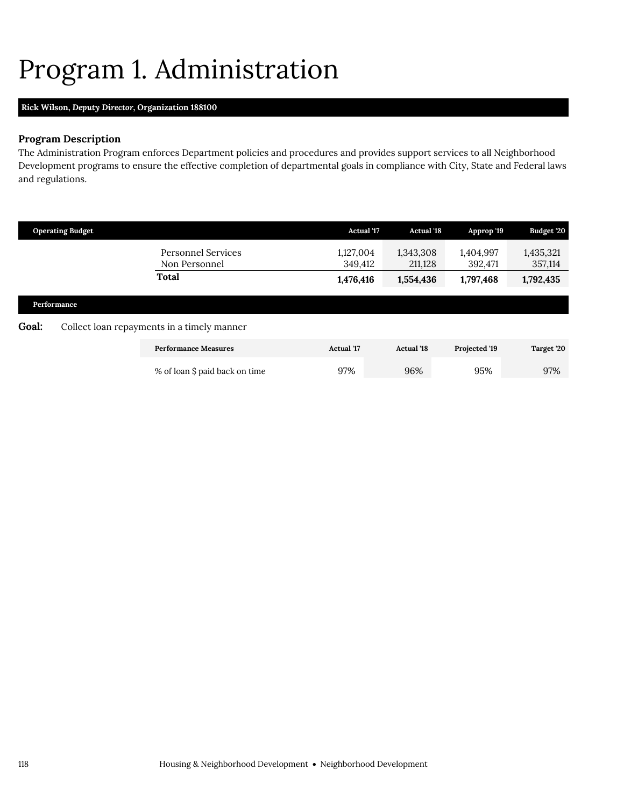## <span id="page-11-0"></span>Program 1. Administration

## **Rick Wilson,** *Deputy Director,* **Organization 188100**

## **Program Description**

The Administration Program enforces Department policies and procedures and provides support services to all Neighborhood Development programs to ensure the effective completion of departmental goals in compliance with City, State and Federal laws and regulations.

|       | <b>Operating Budget</b> |                                                     | <b>Actual '17</b>                 | <b>Actual '18</b>                 | Approp '19                        | Budget '20                        |
|-------|-------------------------|-----------------------------------------------------|-----------------------------------|-----------------------------------|-----------------------------------|-----------------------------------|
|       |                         | <b>Personnel Services</b><br>Non Personnel<br>Total | 1,127,004<br>349,412<br>1,476,416 | 1,343,308<br>211,128<br>1,554,436 | 1,404,997<br>392,471<br>1,797,468 | 1,435,321<br>357,114<br>1,792,435 |
|       | Performance             |                                                     |                                   |                                   |                                   |                                   |
| Goal: |                         | Collect loan repayments in a timely manner          |                                   |                                   |                                   |                                   |
|       |                         | <b>Performance Measures</b>                         | <b>Actual</b> '17                 | <b>Actual '18</b>                 | Projected '19                     | Target '20                        |
|       |                         | % of loan \$ paid back on time                      | 97%                               | 96%                               | 95%                               | 97%                               |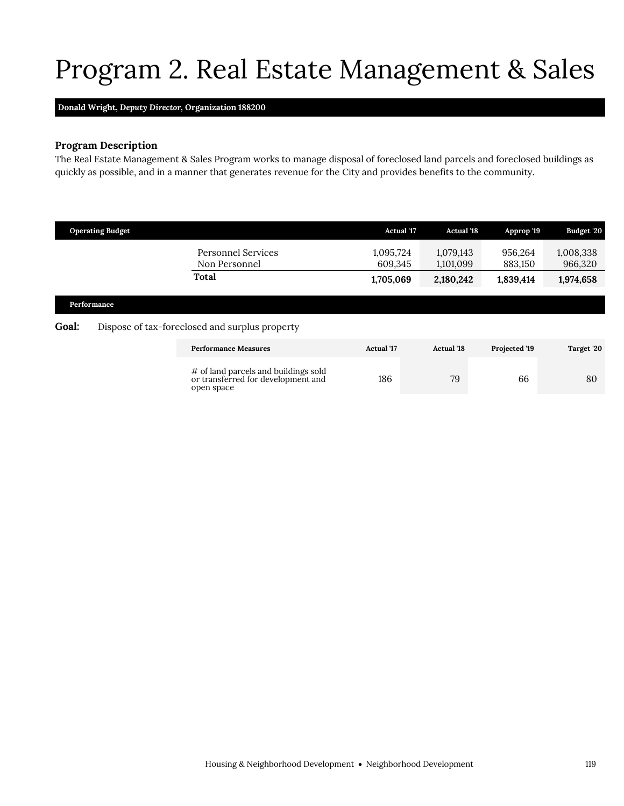## <span id="page-12-0"></span>Program 2. Real Estate Management & Sales

### **Donald Wright,** *Deputy Director,* **Organization 188200**

## **Program Description**

The Real Estate Management & Sales Program works to manage disposal of foreclosed land parcels and foreclosed buildings as quickly as possible, and in a manner that generates revenue for the City and provides benefits to the community.

|                                                                        | <b>Operating Budget</b> |                                                                                          | <b>Actual</b> '17    | <b>Actual '18</b>      | Approp '19         | Budget '20           |
|------------------------------------------------------------------------|-------------------------|------------------------------------------------------------------------------------------|----------------------|------------------------|--------------------|----------------------|
|                                                                        |                         | <b>Personnel Services</b><br>Non Personnel                                               | 1,095,724<br>609,345 | 1,079,143<br>1,101,099 | 956.264<br>883,150 | 1,008,338<br>966,320 |
|                                                                        |                         | Total                                                                                    | 1,705,069            | 2,180,242              | 1,839,414          | 1,974,658            |
| Performance<br>Goal:<br>Dispose of tax-foreclosed and surplus property |                         |                                                                                          |                      |                        |                    |                      |
|                                                                        |                         | <b>Performance Measures</b>                                                              | <b>Actual</b> '17    | <b>Actual</b> '18      | Projected '19      | Target '20           |
|                                                                        |                         | # of land parcels and buildings sold<br>or transferred for development and<br>open space | 186                  | 79                     | 66                 | 80                   |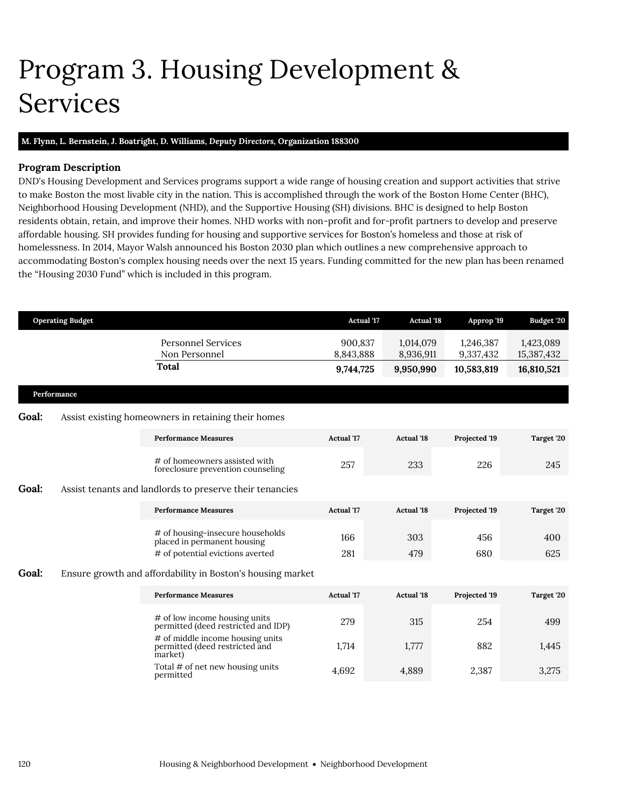## <span id="page-13-0"></span>Program 3. Housing Development & Services

### **M. Flynn, L. Bernstein, J. Boatright, D. Williams,** *Deputy Directors,* **Organization 188300**

## **Program Description**

DND's Housing Development and Services programs support a wide range of housing creation and support activities that strive to make Boston the most livable city in the nation. This is accomplished through the work of the Boston Home Center (BHC), Neighborhood Housing Development (NHD), and the Supportive Housing (SH) divisions. BHC is designed to help Boston residents obtain, retain, and improve their homes. NHD works with non-profit and for-profit partners to develop and preserve affordable housing. SH provides funding for housing and supportive services for Boston's homeless and those at risk of homelessness. In 2014, Mayor Walsh announced his Boston 2030 plan which outlines a new comprehensive approach to accommodating Boston's complex housing needs over the next 15 years. Funding committed for the new plan has been renamed the "Housing 2030 Fund" which is included in this program.

| <b>Operating Budget</b> |             |                                                                               | <b>Actual '17</b>    | <b>Actual '18</b>      | Approp '19             | Budget '20              |
|-------------------------|-------------|-------------------------------------------------------------------------------|----------------------|------------------------|------------------------|-------------------------|
|                         |             | <b>Personnel Services</b><br>Non Personnel                                    | 900,837<br>8,843,888 | 1,014,079<br>8,936,911 | 1,246,387<br>9,337,432 | 1,423,089<br>15,387,432 |
|                         |             | Total                                                                         | 9,744,725            | 9,950,990              | 10,583,819             | 16,810,521              |
|                         | Performance |                                                                               |                      |                        |                        |                         |
| <b>Goal:</b>            |             | Assist existing homeowners in retaining their homes                           |                      |                        |                        |                         |
|                         |             | <b>Performance Measures</b>                                                   | <b>Actual</b> '17    | <b>Actual</b> '18      | Projected '19          | Target '20              |
|                         |             | # of homeowners assisted with<br>foreclosure prevention counseling            | 257                  | 233                    | 226                    | 245                     |
| <b>Goal:</b>            |             | Assist tenants and landlords to preserve their tenancies                      |                      |                        |                        |                         |
|                         |             | <b>Performance Measures</b>                                                   | Actual '17           | <b>Actual '18</b>      | Projected '19          | Target '20              |
|                         |             | # of housing-insecure households<br>placed in permanent housing               | 166                  | 303                    | 456                    | 400                     |
|                         |             | # of potential evictions averted                                              | 281                  | 479                    | 680                    | 625                     |
| <b>Goal:</b>            |             | Ensure growth and affordability in Boston's housing market                    |                      |                        |                        |                         |
|                         |             | <b>Performance Measures</b>                                                   | <b>Actual</b> '17    | <b>Actual '18</b>      | Projected '19          | Target '20              |
|                         |             | # of low income housing units<br>permitted (deed restricted and IDP)          | 279                  | 315                    | 254                    | 499                     |
|                         |             | # of middle income housing units<br>permitted (deed restricted and<br>market) | 1,714                | 1,777                  | 882                    | 1,445                   |
|                         |             | Total # of net new housing units<br>permitted                                 | 4,692                | 4,889                  | 2,387                  | 3,275                   |
|                         |             |                                                                               |                      |                        |                        |                         |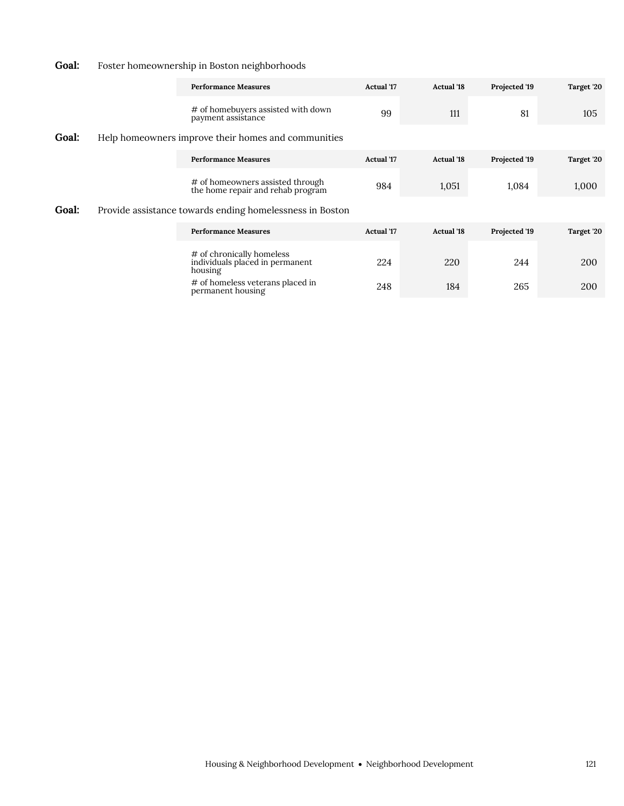## Goal: Foster homeownership in Boston neighborhoods

|              | <b>Performance Measures</b>                                             | <b>Actual</b> '17 | <b>Actual</b> '18 | Projected '19 | Target '20 |
|--------------|-------------------------------------------------------------------------|-------------------|-------------------|---------------|------------|
|              | # of homebuyers assisted with down<br>payment assistance                | 99                | 111               | 81            | 105        |
| <b>Goal:</b> | Help homeowners improve their homes and communities                     |                   |                   |               |            |
|              | <b>Performance Measures</b>                                             | <b>Actual</b> '17 | <b>Actual</b> '18 | Projected '19 | Target '20 |
|              | # of homeowners assisted through<br>the home repair and rehab program   | 984               | 1,051             | 1,084         | 1,000      |
| <b>Goal:</b> | Provide assistance towards ending homelessness in Boston                |                   |                   |               |            |
|              | <b>Performance Measures</b>                                             | <b>Actual</b> '17 | <b>Actual</b> '18 | Projected '19 | Target '20 |
|              | # of chronically homeless<br>individuals placed in permanent<br>housing | 224               | 220               | 244           | 200        |

# of homeless veterans placed in permanent housing 248 184 265 200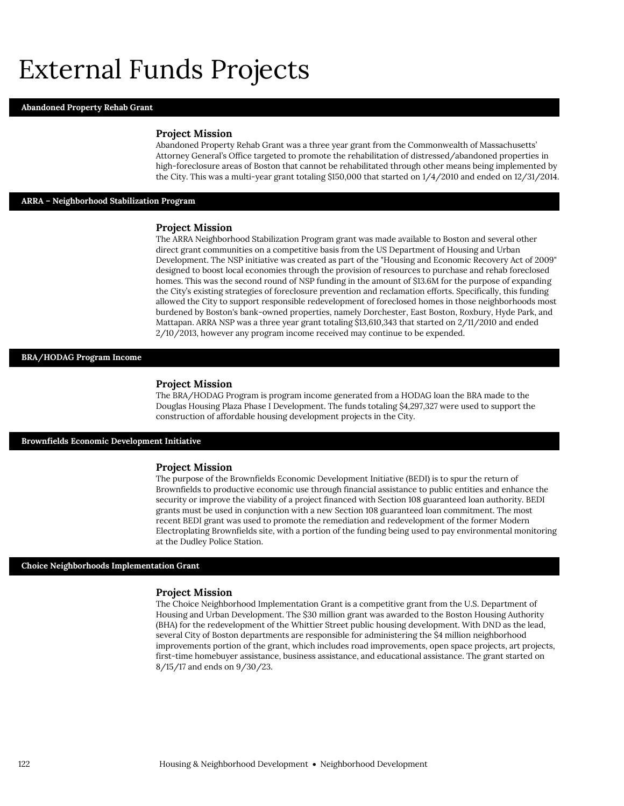## External Funds Projects

#### **Abandoned Property Rehab Grant**

#### **Project Mission**

Abandoned Property Rehab Grant was a three year grant from the Commonwealth of Massachusetts' Attorney General's Office targeted to promote the rehabilitation of distressed/abandoned properties in high-foreclosure areas of Boston that cannot be rehabilitated through other means being implemented by the City. This was a multi-year grant totaling \$150,000 that started on 1/4/2010 and ended on 12/31/2014.

#### **ARRA – Neighborhood Stabilization Program**

#### **Project Mission**

The ARRA Neighborhood Stabilization Program grant was made available to Boston and several other direct grant communities on a competitive basis from the US Department of Housing and Urban Development. The NSP initiative was created as part of the "Housing and Economic Recovery Act of 2009" designed to boost local economies through the provision of resources to purchase and rehab foreclosed homes. This was the second round of NSP funding in the amount of \$13.6M for the purpose of expanding the City's existing strategies of foreclosure prevention and reclamation efforts. Specifically, this funding allowed the City to support responsible redevelopment of foreclosed homes in those neighborhoods most burdened by Boston's bank-owned properties, namely Dorchester, East Boston, Roxbury, Hyde Park, and Mattapan. ARRA NSP was a three year grant totaling \$13,610,343 that started on 2/11/2010 and ended 2/10/2013, however any program income received may continue to be expended.

#### **BRA/HODAG Program Income**

#### **Project Mission**

The BRA/HODAG Program is program income generated from a HODAG loan the BRA made to the Douglas Housing Plaza Phase I Development. The funds totaling \$4,297,327 were used to support the construction of affordable housing development projects in the City.

#### **Brownfields Economic Development Initiative**

#### **Project Mission**

The purpose of the Brownfields Economic Development Initiative (BEDI) is to spur the return of Brownfields to productive economic use through financial assistance to public entities and enhance the security or improve the viability of a project financed with Section 108 guaranteed loan authority. BEDI grants must be used in conjunction with a new Section 108 guaranteed loan commitment. The most recent BEDI grant was used to promote the remediation and redevelopment of the former Modern Electroplating Brownfields site, with a portion of the funding being used to pay environmental monitoring at the Dudley Police Station.

#### **Choice Neighborhoods Implementation Grant**

#### **Project Mission**

The Choice Neighborhood Implementation Grant is a competitive grant from the U.S. Department of Housing and Urban Development. The \$30 million grant was awarded to the Boston Housing Authority (BHA) for the redevelopment of the Whittier Street public housing development. With DND as the lead, several City of Boston departments are responsible for administering the \$4 million neighborhood improvements portion of the grant, which includes road improvements, open space projects, art projects, first-time homebuyer assistance, business assistance, and educational assistance. The grant started on 8/15/17 and ends on 9/30/23.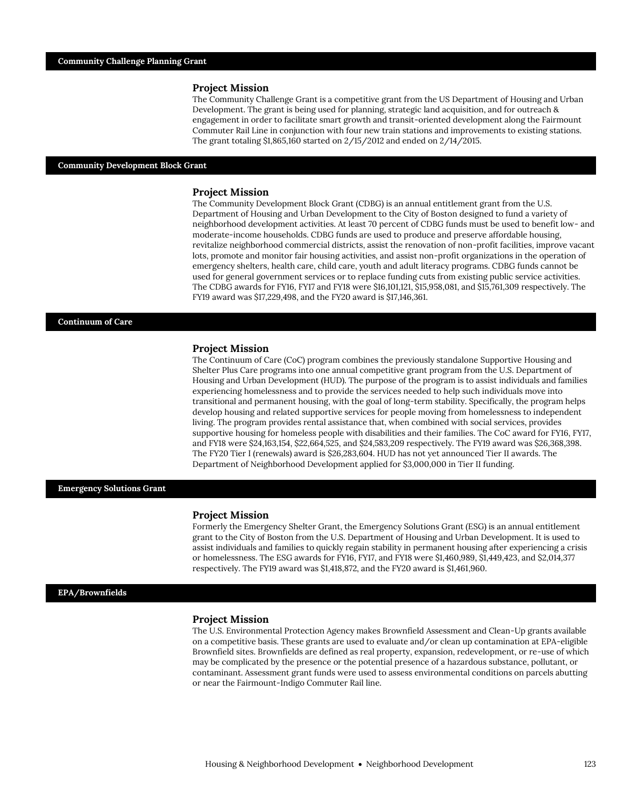The Community Challenge Grant is a competitive grant from the US Department of Housing and Urban Development. The grant is being used for planning, strategic land acquisition, and for outreach & engagement in order to facilitate smart growth and transit-oriented development along the Fairmount Commuter Rail Line in conjunction with four new train stations and improvements to existing stations. The grant totaling \$1,865,160 started on 2/15/2012 and ended on 2/14/2015.

#### **Community Development Block Grant**

#### **Project Mission**

The Community Development Block Grant (CDBG) is an annual entitlement grant from the U.S. Department of Housing and Urban Development to the City of Boston designed to fund a variety of neighborhood development activities. At least 70 percent of CDBG funds must be used to benefit low- and moderate-income households. CDBG funds are used to produce and preserve affordable housing, revitalize neighborhood commercial districts, assist the renovation of non-profit facilities, improve vacant lots, promote and monitor fair housing activities, and assist non-profit organizations in the operation of emergency shelters, health care, child care, youth and adult literacy programs. CDBG funds cannot be used for general government services or to replace funding cuts from existing public service activities. The CDBG awards for FY16, FY17 and FY18 were \$16,101,121, \$15,958,081, and \$15,761,309 respectively. The FY19 award was \$17,229,498, and the FY20 award is \$17,146,361.

#### **Continuum of Care**

#### **Project Mission**

The Continuum of Care (CoC) program combines the previously standalone Supportive Housing and Shelter Plus Care programs into one annual competitive grant program from the U.S. Department of Housing and Urban Development (HUD). The purpose of the program is to assist individuals and families experiencing homelessness and to provide the services needed to help such individuals move into transitional and permanent housing, with the goal of long-term stability. Specifically, the program helps develop housing and related supportive services for people moving from homelessness to independent living. The program provides rental assistance that, when combined with social services, provides supportive housing for homeless people with disabilities and their families. The CoC award for FY16, FY17, and FY18 were \$24,163,154, \$22,664,525, and \$24,583,209 respectively. The FY19 award was \$26,368,398. The FY20 Tier I (renewals) award is \$26,283,604. HUD has not yet announced Tier II awards. The Department of Neighborhood Development applied for \$3,000,000 in Tier II funding.

#### **Emergency Solutions Grant**

#### **Project Mission**

Formerly the Emergency Shelter Grant, the Emergency Solutions Grant (ESG) is an annual entitlement grant to the City of Boston from the U.S. Department of Housing and Urban Development. It is used to assist individuals and families to quickly regain stability in permanent housing after experiencing a crisis or homelessness. The ESG awards for FY16, FY17, and FY18 were \$1,460,989, \$1,449,423, and \$2,014,377 respectively. The FY19 award was \$1,418,872, and the FY20 award is \$1,461,960.

#### **EPA/Brownfields**

#### **Project Mission**

The U.S. Environmental Protection Agency makes Brownfield Assessment and Clean-Up grants available on a competitive basis. These grants are used to evaluate and/or clean up contamination at EPA-eligible Brownfield sites. Brownfields are defined as real property, expansion, redevelopment, or re-use of which may be complicated by the presence or the potential presence of a hazardous substance, pollutant, or contaminant. Assessment grant funds were used to assess environmental conditions on parcels abutting or near the Fairmount-Indigo Commuter Rail line.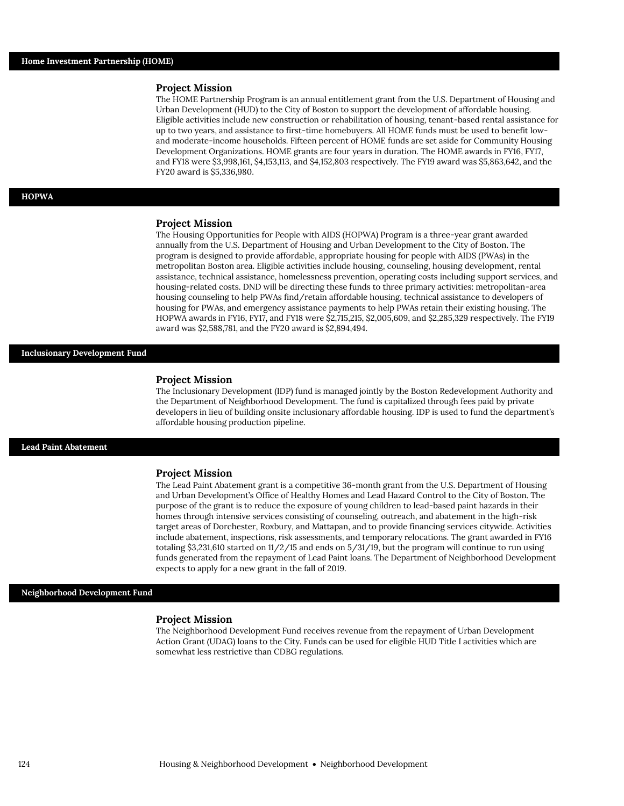The HOME Partnership Program is an annual entitlement grant from the U.S. Department of Housing and Urban Development (HUD) to the City of Boston to support the development of affordable housing. Eligible activities include new construction or rehabilitation of housing, tenant-based rental assistance for up to two years, and assistance to first-time homebuyers. All HOME funds must be used to benefit lowand moderate-income households. Fifteen percent of HOME funds are set aside for Community Housing Development Organizations. HOME grants are four years in duration. The HOME awards in FY16, FY17, and FY18 were \$3,998,161, \$4,153,113, and \$4,152,803 respectively. The FY19 award was \$5,863,642, and the FY20 award is \$5,336,980.

#### **HOPWA**

#### **Project Mission**

The Housing Opportunities for People with AIDS (HOPWA) Program is a three-year grant awarded annually from the U.S. Department of Housing and Urban Development to the City of Boston. The program is designed to provide affordable, appropriate housing for people with AIDS (PWAs) in the metropolitan Boston area. Eligible activities include housing, counseling, housing development, rental assistance, technical assistance, homelessness prevention, operating costs including support services, and housing-related costs. DND will be directing these funds to three primary activities: metropolitan-area housing counseling to help PWAs find/retain affordable housing, technical assistance to developers of housing for PWAs, and emergency assistance payments to help PWAs retain their existing housing. The HOPWA awards in FY16, FY17, and FY18 were \$2,715,215, \$2,005,609, and \$2,285,329 respectively. The FY19 award was \$2,588,781, and the FY20 award is \$2,894,494.

#### **Inclusionary Development Fund**

#### **Project Mission**

The Inclusionary Development (IDP) fund is managed jointly by the Boston Redevelopment Authority and the Department of Neighborhood Development. The fund is capitalized through fees paid by private developers in lieu of building onsite inclusionary affordable housing. IDP is used to fund the department's affordable housing production pipeline.

#### **Lead Paint Abatement**

#### **Project Mission**

The Lead Paint Abatement grant is a competitive 36-month grant from the U.S. Department of Housing and Urban Development's Office of Healthy Homes and Lead Hazard Control to the City of Boston. The purpose of the grant is to reduce the exposure of young children to lead-based paint hazards in their homes through intensive services consisting of counseling, outreach, and abatement in the high-risk target areas of Dorchester, Roxbury, and Mattapan, and to provide financing services citywide. Activities include abatement, inspections, risk assessments, and temporary relocations. The grant awarded in FY16 totaling \$3,231,610 started on 11/2/15 and ends on 5/31/19, but the program will continue to run using funds generated from the repayment of Lead Paint loans. The Department of Neighborhood Development expects to apply for a new grant in the fall of 2019.

#### **Neighborhood Development Fund**

#### **Project Mission**

The Neighborhood Development Fund receives revenue from the repayment of Urban Development Action Grant (UDAG) loans to the City. Funds can be used for eligible HUD Title I activities which are somewhat less restrictive than CDBG regulations.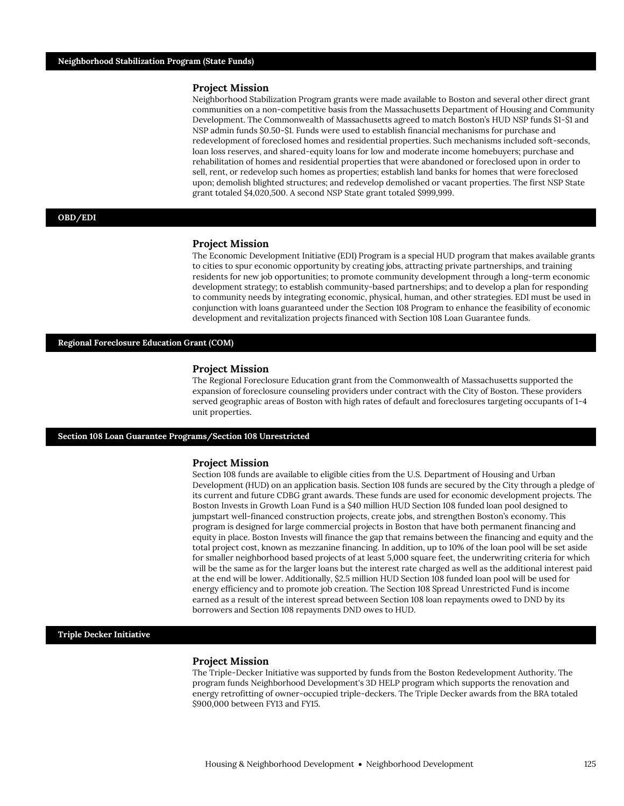Neighborhood Stabilization Program grants were made available to Boston and several other direct grant communities on a non-competitive basis from the Massachusetts Department of Housing and Community Development. The Commonwealth of Massachusetts agreed to match Boston's HUD NSP funds \$1-\$1 and NSP admin funds \$0.50-\$1. Funds were used to establish financial mechanisms for purchase and redevelopment of foreclosed homes and residential properties. Such mechanisms included soft-seconds, loan loss reserves, and shared-equity loans for low and moderate income homebuyers; purchase and rehabilitation of homes and residential properties that were abandoned or foreclosed upon in order to sell, rent, or redevelop such homes as properties; establish land banks for homes that were foreclosed upon; demolish blighted structures; and redevelop demolished or vacant properties. The first NSP State grant totaled \$4,020,500. A second NSP State grant totaled \$999,999.

#### **OBD/EDI**

#### **Project Mission**

The Economic Development Initiative (EDI) Program is a special HUD program that makes available grants to cities to spur economic opportunity by creating jobs, attracting private partnerships, and training residents for new job opportunities; to promote community development through a long-term economic development strategy; to establish community-based partnerships; and to develop a plan for responding to community needs by integrating economic, physical, human, and other strategies. EDI must be used in conjunction with loans guaranteed under the Section 108 Program to enhance the feasibility of economic development and revitalization projects financed with Section 108 Loan Guarantee funds.

#### **Regional Foreclosure Education Grant (COM)**

#### **Project Mission**

The Regional Foreclosure Education grant from the Commonwealth of Massachusetts supported the expansion of foreclosure counseling providers under contract with the City of Boston. These providers served geographic areas of Boston with high rates of default and foreclosures targeting occupants of 1-4 unit properties.

#### **Section 108 Loan Guarantee Programs/Section 108 Unrestricted**

#### **Project Mission**

Section 108 funds are available to eligible cities from the U.S. Department of Housing and Urban Development (HUD) on an application basis. Section 108 funds are secured by the City through a pledge of its current and future CDBG grant awards. These funds are used for economic development projects. The Boston Invests in Growth Loan Fund is a \$40 million HUD Section 108 funded loan pool designed to jumpstart well-financed construction projects, create jobs, and strengthen Boston's economy. This program is designed for large commercial projects in Boston that have both permanent financing and equity in place. Boston Invests will finance the gap that remains between the financing and equity and the total project cost, known as mezzanine financing. In addition, up to 10% of the loan pool will be set aside for smaller neighborhood based projects of at least 5,000 square feet, the underwriting criteria for which will be the same as for the larger loans but the interest rate charged as well as the additional interest paid at the end will be lower. Additionally, \$2.5 million HUD Section 108 funded loan pool will be used for energy efficiency and to promote job creation. The Section 108 Spread Unrestricted Fund is income earned as a result of the interest spread between Section 108 loan repayments owed to DND by its borrowers and Section 108 repayments DND owes to HUD.

#### **Triple Decker Initiative**

#### **Project Mission**

The Triple-Decker Initiative was supported by funds from the Boston Redevelopment Authority. The program funds Neighborhood Development's 3D HELP program which supports the renovation and energy retrofitting of owner-occupied triple-deckers. The Triple Decker awards from the BRA totaled \$900,000 between FY13 and FY15.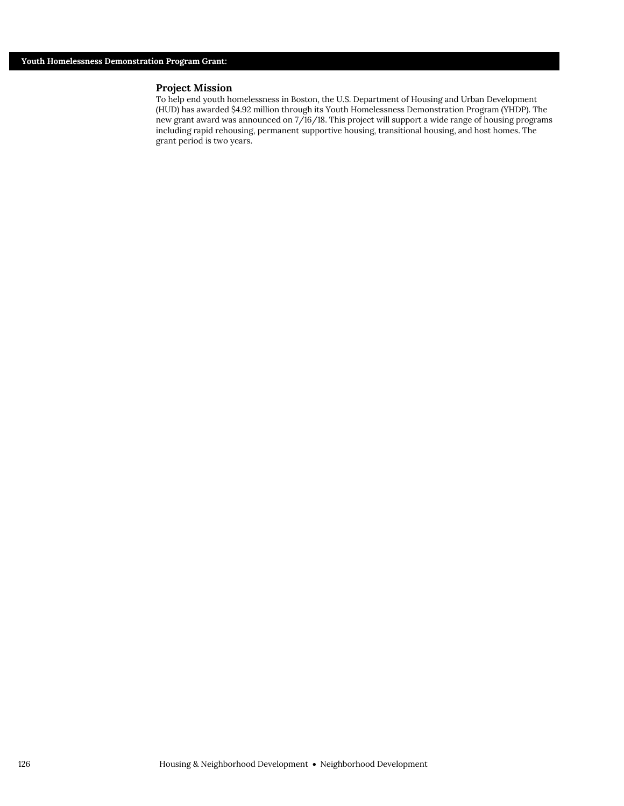To help end youth homelessness in Boston, the U.S. Department of Housing and Urban Development (HUD) has awarded \$4.92 million through its Youth Homelessness Demonstration Program (YHDP). The new grant award was announced on 7/16/18. This project will support a wide range of housing programs including rapid rehousing, permanent supportive housing, transitional housing, and host homes. The grant period is two years.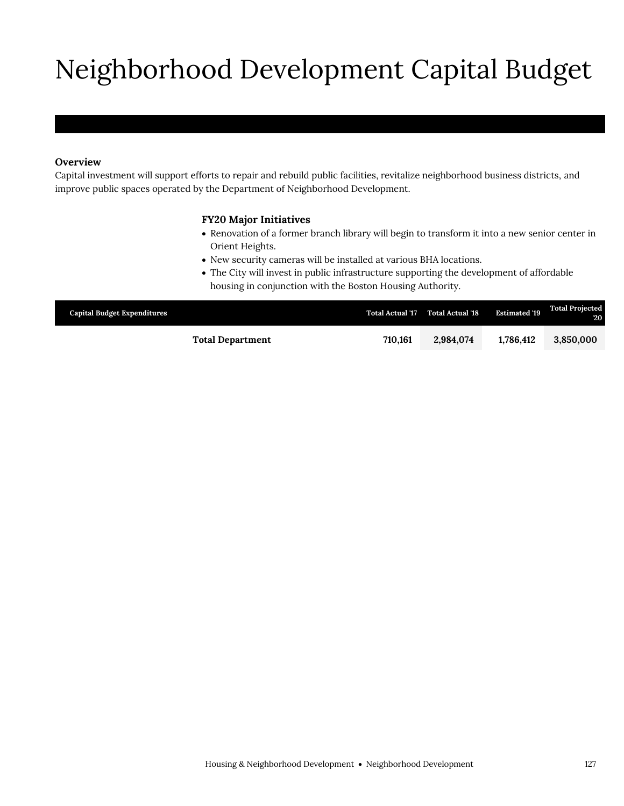# Neighborhood Development Capital Budget

## **Overview**

Capital investment will support efforts to repair and rebuild public facilities, revitalize neighborhood business districts, and improve public spaces operated by the Department of Neighborhood Development.

## **FY20 Major Initiatives**

- Renovation of a former branch library will begin to transform it into a new senior center in Orient Heights.
- New security cameras will be installed at various BHA locations.
- The City will invest in public infrastructure supporting the development of affordable housing in conjunction with the Boston Housing Authority.

| <b>Capital Budget Expenditures</b> |         | Total Actual '17 Total Actual '18 | <b>Estimated '19</b> | <b>Total Projected</b><br>$20^{\circ}$ |
|------------------------------------|---------|-----------------------------------|----------------------|----------------------------------------|
| <b>Total Department</b>            | 710.161 | 2,984,074                         | 1.786.412            | 3.850,000                              |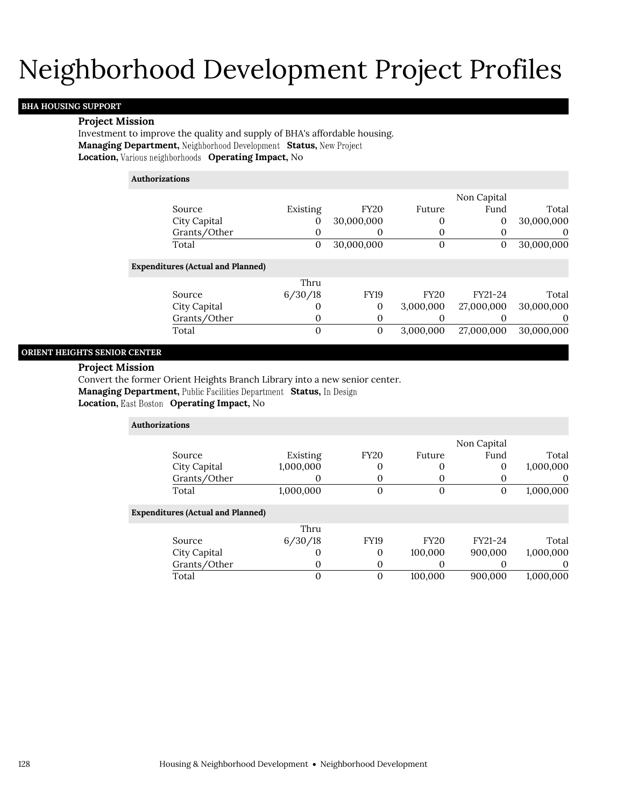## Neighborhood Development Project Profiles

## **BHA HOUSING SUPPORT**

#### **Project Mission**

Investment to improve the quality and supply of BHA's affordable housing. Managing Department, Neighborhood Development Status, New Project **Location, Various neighborhoods Operating Impact, No** 

### **Authorizations**

|              |          |             |        | Non Capital |            |
|--------------|----------|-------------|--------|-------------|------------|
| Source       | Existing | <b>FY20</b> | Future | Fund        | Total      |
| City Capital |          | 30,000,000  |        |             | 30,000,000 |
| Grants/Other |          |             |        |             |            |
| Total        |          | 30,000,000  |        |             | 30,000,000 |

### **Expenditures (Actual and Planned)**

|              | Thru    |             |             |            |            |
|--------------|---------|-------------|-------------|------------|------------|
| Source       | 6/30/18 | <b>FY19</b> | <b>FY20</b> | FY21-24    | Total      |
| City Capital |         |             | 3.000.000   | 27,000,000 | 30,000,000 |
| Grants/Other |         |             |             |            |            |
| Total        |         |             | 3.000.000   | 27,000,000 | 30,000,000 |

### **ORIENT HEIGHTS SENIOR CENTER**

#### **Project Mission**

Convert the former Orient Heights Branch Library into a new senior center.

**Managing Department, Public Facilities Department Status, In Design** 

**Location, East Boston Operating Impact, No** 

| <b>Authorizations</b>                    |           |                  |             |                  |           |
|------------------------------------------|-----------|------------------|-------------|------------------|-----------|
|                                          |           |                  |             | Non Capital      |           |
| Source                                   | Existing  | <b>FY20</b>      | Future      | Fund             | Total     |
| City Capital                             | 1,000,000 | 0                | $\theta$    | 0                | 1,000,000 |
| Grants/Other                             |           | 0                | O           |                  | 0         |
| Total                                    | 1,000,000 | $\boldsymbol{0}$ | $\theta$    | $\boldsymbol{0}$ | 1,000,000 |
| <b>Expenditures (Actual and Planned)</b> |           |                  |             |                  |           |
|                                          | Thru      |                  |             |                  |           |
| Source                                   | 6/30/18   | <b>FY19</b>      | <b>FY20</b> | FY21-24          | Total     |
| City Capital                             |           | 0                | 100,000     | 900,000          | 1,000,000 |
| Grants/Other                             | O         | 0                | O           | $\theta$         | $\theta$  |
| Total                                    |           | $\mathbf{0}$     | 100,000     | 900,000          | 1,000,000 |